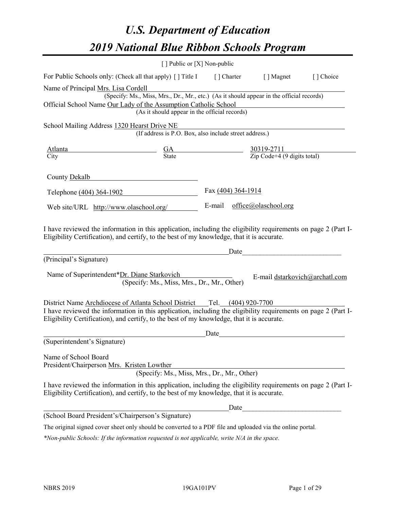# *U.S. Department of Education 2019 National Blue Ribbon Schools Program*

|                                                                                                                                                                                                                                                                                            | [] Public or [X] Non-public                                                                                                               |                             |                                                                 |           |
|--------------------------------------------------------------------------------------------------------------------------------------------------------------------------------------------------------------------------------------------------------------------------------------------|-------------------------------------------------------------------------------------------------------------------------------------------|-----------------------------|-----------------------------------------------------------------|-----------|
| For Public Schools only: (Check all that apply) [ ] Title I [ ] Charter [ ] Magnet                                                                                                                                                                                                         |                                                                                                                                           |                             |                                                                 | [] Choice |
| Name of Principal Mrs. Lisa Cordell<br>Official School Name Our Lady of the Assumption Catholic School                                                                                                                                                                                     | (Specify: Ms., Miss, Mrs., Dr., Mr., etc.) (As it should appear in the official records)<br>(As it should appear in the official records) |                             |                                                                 |           |
| School Mailing Address 1320 Hearst Drive NE                                                                                                                                                                                                                                                | (If address is P.O. Box, also include street address.)                                                                                    |                             |                                                                 |           |
| <u>Atlanta </u><br>City                                                                                                                                                                                                                                                                    | $\frac{GA}{State}$                                                                                                                        |                             | $\frac{30319-2711}{\text{Zip Code}+4 (9 \text{ digits total})}$ |           |
| County Dekalb                                                                                                                                                                                                                                                                              |                                                                                                                                           |                             |                                                                 |           |
| Telephone (404) 364-1902                                                                                                                                                                                                                                                                   |                                                                                                                                           | Fax (404) 364-1914          |                                                                 |           |
| Web site/URL http://www.olaschool.org/                                                                                                                                                                                                                                                     |                                                                                                                                           | E-mail office@olaschool.org |                                                                 |           |
| I have reviewed the information in this application, including the eligibility requirements on page 2 (Part I-<br>Eligibility Certification), and certify, to the best of my knowledge, that it is accurate.<br>(Principal's Signature)<br>Name of Superintendent*Dr. Diane Starkovich     | (Specify: Ms., Miss, Mrs., Dr., Mr., Other)                                                                                               | Date                        | E-mail dstarkovich@archatl.com                                  |           |
| District Name Archdiocese of Atlanta School District __Tel. (404) 920-7700<br>I have reviewed the information in this application, including the eligibility requirements on page 2 (Part I-<br>Eligibility Certification), and certify, to the best of my knowledge, that it is accurate. |                                                                                                                                           |                             |                                                                 |           |
| (Superintendent's Signature)                                                                                                                                                                                                                                                               |                                                                                                                                           | Date                        |                                                                 |           |
| Name of School Board<br>President/Chairperson Mrs. Kristen Lowther                                                                                                                                                                                                                         | (Specify: Ms., Miss, Mrs., Dr., Mr., Other)                                                                                               |                             |                                                                 |           |
| I have reviewed the information in this application, including the eligibility requirements on page 2 (Part I-<br>Eligibility Certification), and certify, to the best of my knowledge, that it is accurate.                                                                               |                                                                                                                                           |                             |                                                                 |           |
|                                                                                                                                                                                                                                                                                            |                                                                                                                                           | Date                        |                                                                 |           |
| (School Board President's/Chairperson's Signature)                                                                                                                                                                                                                                         |                                                                                                                                           |                             |                                                                 |           |
| The original signed cover sheet only should be converted to a PDF file and uploaded via the online portal.                                                                                                                                                                                 |                                                                                                                                           |                             |                                                                 |           |

*\*Non-public Schools: If the information requested is not applicable, write N/A in the space.*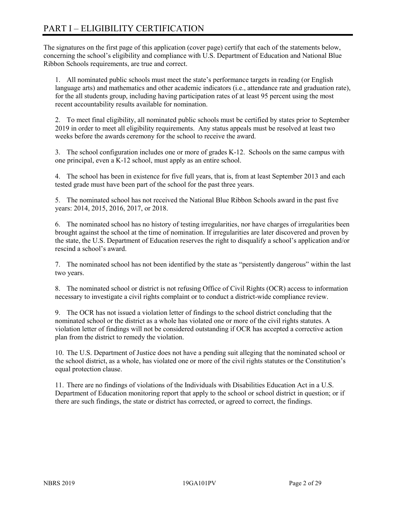# PART I – ELIGIBILITY CERTIFICATION

The signatures on the first page of this application (cover page) certify that each of the statements below, concerning the school's eligibility and compliance with U.S. Department of Education and National Blue Ribbon Schools requirements, are true and correct.

1. All nominated public schools must meet the state's performance targets in reading (or English language arts) and mathematics and other academic indicators (i.e., attendance rate and graduation rate), for the all students group, including having participation rates of at least 95 percent using the most recent accountability results available for nomination.

2. To meet final eligibility, all nominated public schools must be certified by states prior to September 2019 in order to meet all eligibility requirements. Any status appeals must be resolved at least two weeks before the awards ceremony for the school to receive the award.

3. The school configuration includes one or more of grades K-12. Schools on the same campus with one principal, even a K-12 school, must apply as an entire school.

4. The school has been in existence for five full years, that is, from at least September 2013 and each tested grade must have been part of the school for the past three years.

5. The nominated school has not received the National Blue Ribbon Schools award in the past five years: 2014, 2015, 2016, 2017, or 2018.

6. The nominated school has no history of testing irregularities, nor have charges of irregularities been brought against the school at the time of nomination. If irregularities are later discovered and proven by the state, the U.S. Department of Education reserves the right to disqualify a school's application and/or rescind a school's award.

7. The nominated school has not been identified by the state as "persistently dangerous" within the last two years.

8. The nominated school or district is not refusing Office of Civil Rights (OCR) access to information necessary to investigate a civil rights complaint or to conduct a district-wide compliance review.

9. The OCR has not issued a violation letter of findings to the school district concluding that the nominated school or the district as a whole has violated one or more of the civil rights statutes. A violation letter of findings will not be considered outstanding if OCR has accepted a corrective action plan from the district to remedy the violation.

10. The U.S. Department of Justice does not have a pending suit alleging that the nominated school or the school district, as a whole, has violated one or more of the civil rights statutes or the Constitution's equal protection clause.

11. There are no findings of violations of the Individuals with Disabilities Education Act in a U.S. Department of Education monitoring report that apply to the school or school district in question; or if there are such findings, the state or district has corrected, or agreed to correct, the findings.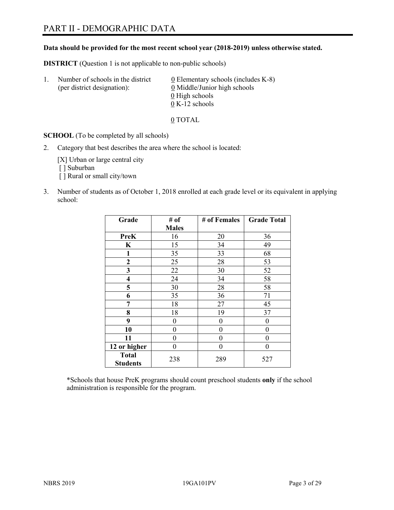**Data should be provided for the most recent school year (2018-2019) unless otherwise stated.** 

**DISTRICT** (Question 1 is not applicable to non-public schools)

| Τ. | Number of schools in the district<br>(per district designation): | 0 Elementary schools (includes K-8)<br>0 Middle/Junior high schools |
|----|------------------------------------------------------------------|---------------------------------------------------------------------|
|    |                                                                  | 0 High schools                                                      |
|    |                                                                  | $0 K-12$ schools                                                    |

0 TOTAL

**SCHOOL** (To be completed by all schools)

2. Category that best describes the area where the school is located:

[X] Urban or large central city [ ] Suburban

- [] Rural or small city/town
- 3. Number of students as of October 1, 2018 enrolled at each grade level or its equivalent in applying school:

| Grade                           | # of         | # of Females | <b>Grade Total</b> |
|---------------------------------|--------------|--------------|--------------------|
|                                 | <b>Males</b> |              |                    |
| <b>PreK</b>                     | 16           | 20           | 36                 |
| K                               | 15           | 34           | 49                 |
| $\mathbf{1}$                    | 35           | 33           | 68                 |
| $\mathbf{2}$                    | 25           | 28           | 53                 |
| 3                               | 22           | 30           | 52                 |
| $\overline{\mathbf{4}}$         | 24           | 34           | 58                 |
| 5                               | 30           | 28           | 58                 |
| 6                               | 35           | 36           | 71                 |
| 7                               | 18           | 27           | 45                 |
| 8                               | 18           | 19           | 37                 |
| 9                               | 0            | 0            | 0                  |
| 10                              | 0            | $\theta$     | 0                  |
| 11                              | 0            | $\theta$     | 0                  |
| 12 or higher                    | 0            | $\theta$     | 0                  |
| <b>Total</b><br><b>Students</b> | 238          | 289          | 527                |

\*Schools that house PreK programs should count preschool students **only** if the school administration is responsible for the program.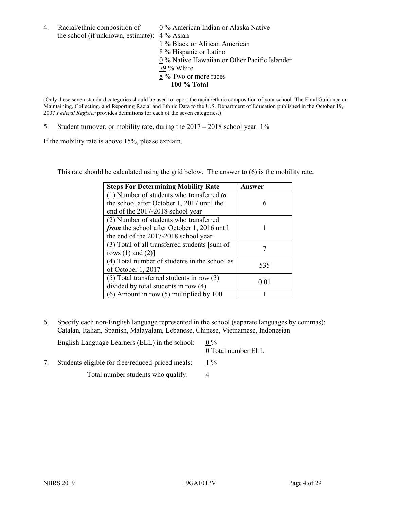4. Racial/ethnic composition of  $\qquad 0\%$  American Indian or Alaska Native the school (if unknown, estimate): 4 % Asian

1 % Black or African American  $\frac{2}{8}$ % Hispanic or Latino 0 % Native Hawaiian or Other Pacific Islander 79 % White 8 % Two or more races **100 % Total**

(Only these seven standard categories should be used to report the racial/ethnic composition of your school. The Final Guidance on Maintaining, Collecting, and Reporting Racial and Ethnic Data to the U.S. Department of Education published in the October 19, 2007 *Federal Register* provides definitions for each of the seven categories.)

5. Student turnover, or mobility rate, during the 2017 – 2018 school year: 1%

If the mobility rate is above 15%, please explain.

This rate should be calculated using the grid below. The answer to (6) is the mobility rate.

| <b>Steps For Determining Mobility Rate</b>    | Answer |
|-----------------------------------------------|--------|
| (1) Number of students who transferred to     |        |
| the school after October 1, 2017 until the    | 6      |
| end of the 2017-2018 school year              |        |
| (2) Number of students who transferred        |        |
| from the school after October 1, 2016 until   |        |
| the end of the 2017-2018 school year          |        |
| (3) Total of all transferred students [sum of |        |
| rows $(1)$ and $(2)$ ]                        |        |
| (4) Total number of students in the school as | 535    |
| of October 1, 2017                            |        |
| $(5)$ Total transferred students in row $(3)$ |        |
| divided by total students in row (4)          | 0.01   |
| $(6)$ Amount in row $(5)$ multiplied by 100   |        |

6. Specify each non-English language represented in the school (separate languages by commas): Catalan, Italian, Spanish, Malayalam, Lebanese, Chinese, Vietnamese, Indonesian

| English Language Learners (ELL) in the school:   | $0\%$<br>0 Total number ELL |
|--------------------------------------------------|-----------------------------|
| Students eligible for free/reduced-priced meals: | $1\%$                       |
| Total number students who qualify:               |                             |
|                                                  |                             |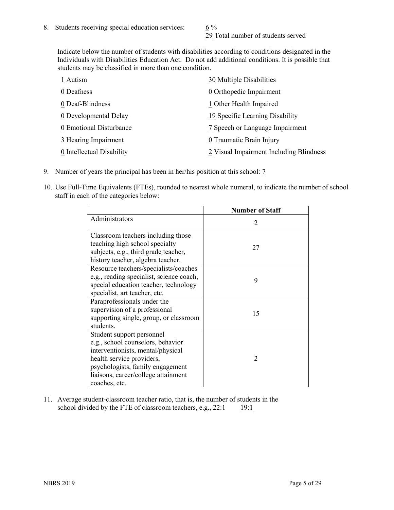29 Total number of students served

Indicate below the number of students with disabilities according to conditions designated in the Individuals with Disabilities Education Act. Do not add additional conditions. It is possible that students may be classified in more than one condition.

| 1 Autism                  | 30 Multiple Disabilities                |
|---------------------------|-----------------------------------------|
| 0 Deafness                | 0 Orthopedic Impairment                 |
| 0 Deaf-Blindness          | 1 Other Health Impaired                 |
| 0 Developmental Delay     | 19 Specific Learning Disability         |
| 0 Emotional Disturbance   | 7 Speech or Language Impairment         |
| 3 Hearing Impairment      | 0 Traumatic Brain Injury                |
| 0 Intellectual Disability | 2 Visual Impairment Including Blindness |

- 9. Number of years the principal has been in her/his position at this school: 7
- 10. Use Full-Time Equivalents (FTEs), rounded to nearest whole numeral, to indicate the number of school staff in each of the categories below:

|                                                                                                                                                                                                                              | <b>Number of Staff</b>      |
|------------------------------------------------------------------------------------------------------------------------------------------------------------------------------------------------------------------------------|-----------------------------|
| Administrators                                                                                                                                                                                                               | $\mathcal{D}_{\mathcal{A}}$ |
| Classroom teachers including those<br>teaching high school specialty<br>subjects, e.g., third grade teacher,<br>history teacher, algebra teacher.                                                                            | 27                          |
| Resource teachers/specialists/coaches<br>e.g., reading specialist, science coach,<br>special education teacher, technology<br>specialist, art teacher, etc.                                                                  | 9                           |
| Paraprofessionals under the<br>supervision of a professional<br>supporting single, group, or classroom<br>students.                                                                                                          | 15                          |
| Student support personnel<br>e.g., school counselors, behavior<br>interventionists, mental/physical<br>health service providers,<br>psychologists, family engagement<br>liaisons, career/college attainment<br>coaches, etc. | $\mathfrak{D}$              |

11. Average student-classroom teacher ratio, that is, the number of students in the school divided by the FTE of classroom teachers, e.g.,  $22:1$  19:1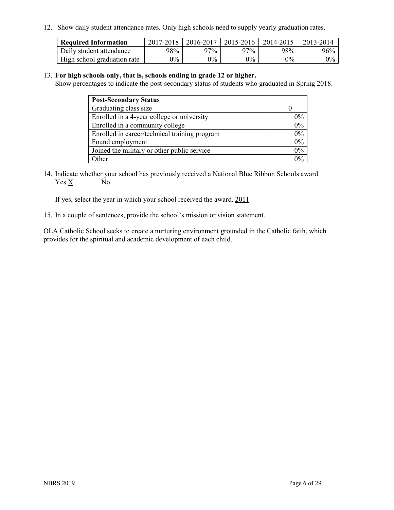12. Show daily student attendance rates. Only high schools need to supply yearly graduation rates.

| <b>Required Information</b> | 2017-2018 | 2016-2017 | 2015-2016 | 2014-2015 | 2013-2014 |
|-----------------------------|-----------|-----------|-----------|-----------|-----------|
| Daily student attendance    | 98%       | 97%       | 97%       | 98%       | 96%       |
| High school graduation rate | $0\%$     | $0\%$     | $0\%$     | 9%        | $0\%$     |

#### 13. **For high schools only, that is, schools ending in grade 12 or higher.**

Show percentages to indicate the post-secondary status of students who graduated in Spring 2018.

| <b>Post-Secondary Status</b>                  |       |
|-----------------------------------------------|-------|
| Graduating class size                         |       |
| Enrolled in a 4-year college or university    | $0\%$ |
| Enrolled in a community college               | 0%    |
| Enrolled in career/technical training program | $0\%$ |
| Found employment                              | 0%    |
| Joined the military or other public service   | $0\%$ |
| Other                                         | $0\%$ |

14. Indicate whether your school has previously received a National Blue Ribbon Schools award. Yes X No

If yes, select the year in which your school received the award. 2011

15. In a couple of sentences, provide the school's mission or vision statement.

OLA Catholic School seeks to create a nurturing environment grounded in the Catholic faith, which provides for the spiritual and academic development of each child.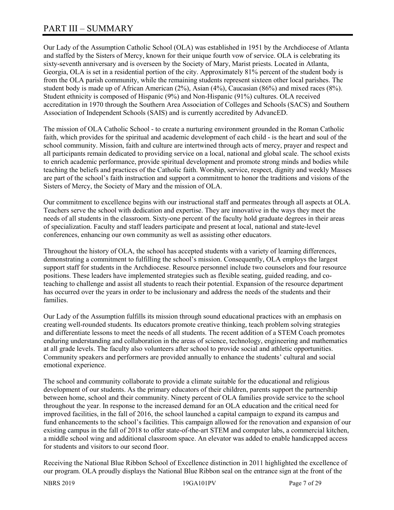# PART III – SUMMARY

Our Lady of the Assumption Catholic School (OLA) was established in 1951 by the Archdiocese of Atlanta and staffed by the Sisters of Mercy, known for their unique fourth vow of service. OLA is celebrating its sixty-seventh anniversary and is overseen by the Society of Mary, Marist priests. Located in Atlanta, Georgia, OLA is set in a residential portion of the city. Approximately 81% percent of the student body is from the OLA parish community, while the remaining students represent sixteen other local parishes. The student body is made up of African American (2%), Asian (4%), Caucasian (86%) and mixed races (8%). Student ethnicity is composed of Hispanic (9%) and Non-Hispanic (91%) cultures. OLA received accreditation in 1970 through the Southern Area Association of Colleges and Schools (SACS) and Southern Association of Independent Schools (SAIS) and is currently accredited by AdvancED.

The mission of OLA Catholic School - to create a nurturing environment grounded in the Roman Catholic faith, which provides for the spiritual and academic development of each child - is the heart and soul of the school community. Mission, faith and culture are intertwined through acts of mercy, prayer and respect and all participants remain dedicated to providing service on a local, national and global scale. The school exists to enrich academic performance, provide spiritual development and promote strong minds and bodies while teaching the beliefs and practices of the Catholic faith. Worship, service, respect, dignity and weekly Masses are part of the school's faith instruction and support a commitment to honor the traditions and visions of the Sisters of Mercy, the Society of Mary and the mission of OLA.

Our commitment to excellence begins with our instructional staff and permeates through all aspects at OLA. Teachers serve the school with dedication and expertise. They are innovative in the ways they meet the needs of all students in the classroom. Sixty-one percent of the faculty hold graduate degrees in their areas of specialization. Faculty and staff leaders participate and present at local, national and state-level conferences, enhancing our own community as well as assisting other educators.

Throughout the history of OLA, the school has accepted students with a variety of learning differences, demonstrating a commitment to fulfilling the school's mission. Consequently, OLA employs the largest support staff for students in the Archdiocese. Resource personnel include two counselors and four resource positions. These leaders have implemented strategies such as flexible seating, guided reading, and coteaching to challenge and assist all students to reach their potential. Expansion of the resource department has occurred over the years in order to be inclusionary and address the needs of the students and their families.

Our Lady of the Assumption fulfills its mission through sound educational practices with an emphasis on creating well-rounded students. Its educators promote creative thinking, teach problem solving strategies and differentiate lessons to meet the needs of all students. The recent addition of a STEM Coach promotes enduring understanding and collaboration in the areas of science, technology, engineering and mathematics at all grade levels. The faculty also volunteers after school to provide social and athletic opportunities. Community speakers and performers are provided annually to enhance the students' cultural and social emotional experience.

The school and community collaborate to provide a climate suitable for the educational and religious development of our students. As the primary educators of their children, parents support the partnership between home, school and their community. Ninety percent of OLA families provide service to the school throughout the year. In response to the increased demand for an OLA education and the critical need for improved facilities, in the fall of 2016, the school launched a capital campaign to expand its campus and fund enhancements to the school's facilities. This campaign allowed for the renovation and expansion of our existing campus in the fall of 2018 to offer state-of-the-art STEM and computer labs, a commercial kitchen, a middle school wing and additional classroom space. An elevator was added to enable handicapped access for students and visitors to our second floor.

Receiving the National Blue Ribbon School of Excellence distinction in 2011 highlighted the excellence of our program. OLA proudly displays the National Blue Ribbon seal on the entrance sign at the front of the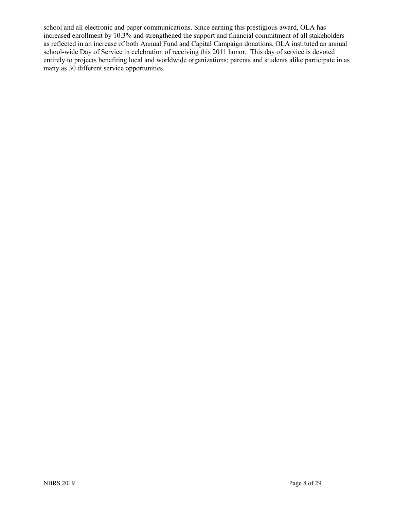school and all electronic and paper communications. Since earning this prestigious award, OLA has increased enrollment by 10.3% and strengthened the support and financial commitment of all stakeholders as reflected in an increase of both Annual Fund and Capital Campaign donations. OLA instituted an annual school-wide Day of Service in celebration of receiving this 2011 honor. This day of service is devoted entirely to projects benefiting local and worldwide organizations; parents and students alike participate in as many as 30 different service opportunities.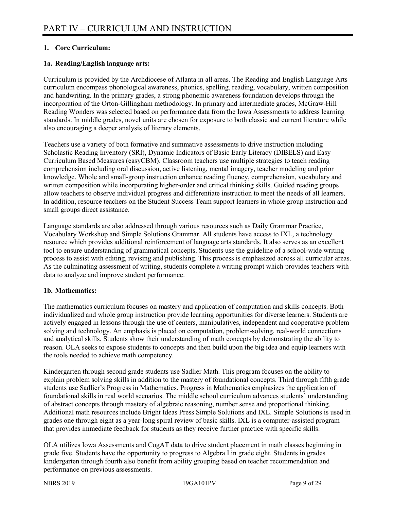### **1. Core Curriculum:**

### **1a. Reading/English language arts:**

Curriculum is provided by the Archdiocese of Atlanta in all areas. The Reading and English Language Arts curriculum encompass phonological awareness, phonics, spelling, reading, vocabulary, written composition and handwriting. In the primary grades, a strong phonemic awareness foundation develops through the incorporation of the Orton-Gillingham methodology. In primary and intermediate grades, McGraw-Hill Reading Wonders was selected based on performance data from the Iowa Assessments to address learning standards. In middle grades, novel units are chosen for exposure to both classic and current literature while also encouraging a deeper analysis of literary elements.

Teachers use a variety of both formative and summative assessments to drive instruction including Scholastic Reading Inventory (SRI), Dynamic Indicators of Basic Early Literacy (DIBELS) and Easy Curriculum Based Measures (easyCBM). Classroom teachers use multiple strategies to teach reading comprehension including oral discussion, active listening, mental imagery, teacher modeling and prior knowledge. Whole and small-group instruction enhance reading fluency, comprehension, vocabulary and written composition while incorporating higher-order and critical thinking skills. Guided reading groups allow teachers to observe individual progress and differentiate instruction to meet the needs of all learners. In addition, resource teachers on the Student Success Team support learners in whole group instruction and small groups direct assistance.

Language standards are also addressed through various resources such as Daily Grammar Practice, Vocabulary Workshop and Simple Solutions Grammar. All students have access to IXL, a technology resource which provides additional reinforcement of language arts standards. It also serves as an excellent tool to ensure understanding of grammatical concepts. Students use the guideline of a school-wide writing process to assist with editing, revising and publishing. This process is emphasized across all curricular areas. As the culminating assessment of writing, students complete a writing prompt which provides teachers with data to analyze and improve student performance.

### **1b. Mathematics:**

The mathematics curriculum focuses on mastery and application of computation and skills concepts. Both individualized and whole group instruction provide learning opportunities for diverse learners. Students are actively engaged in lessons through the use of centers, manipulatives, independent and cooperative problem solving and technology. An emphasis is placed on computation, problem-solving, real-world connections and analytical skills. Students show their understanding of math concepts by demonstrating the ability to reason. OLA seeks to expose students to concepts and then build upon the big idea and equip learners with the tools needed to achieve math competency.

Kindergarten through second grade students use Sadlier Math. This program focuses on the ability to explain problem solving skills in addition to the mastery of foundational concepts. Third through fifth grade students use Sadlier's Progress in Mathematics. Progress in Mathematics emphasizes the application of foundational skills in real world scenarios. The middle school curriculum advances students' understanding of abstract concepts through mastery of algebraic reasoning, number sense and proportional thinking. Additional math resources include Bright Ideas Press Simple Solutions and IXL. Simple Solutions is used in grades one through eight as a year-long spiral review of basic skills. IXL is a computer-assisted program that provides immediate feedback for students as they receive further practice with specific skills.

OLA utilizes Iowa Assessments and CogAT data to drive student placement in math classes beginning in grade five. Students have the opportunity to progress to Algebra I in grade eight. Students in grades kindergarten through fourth also benefit from ability grouping based on teacher recommendation and performance on previous assessments.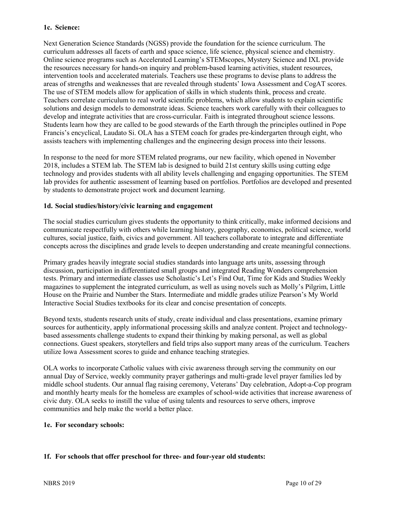### **1c. Science:**

Next Generation Science Standards (NGSS) provide the foundation for the science curriculum. The curriculum addresses all facets of earth and space science, life science, physical science and chemistry. Online science programs such as Accelerated Learning's STEMscopes, Mystery Science and IXL provide the resources necessary for hands-on inquiry and problem-based learning activities, student resources, intervention tools and accelerated materials. Teachers use these programs to devise plans to address the areas of strengths and weaknesses that are revealed through students' Iowa Assessment and CogAT scores. The use of STEM models allow for application of skills in which students think, process and create. Teachers correlate curriculum to real world scientific problems, which allow students to explain scientific solutions and design models to demonstrate ideas. Science teachers work carefully with their colleagues to develop and integrate activities that are cross-curricular. Faith is integrated throughout science lessons. Students learn how they are called to be good stewards of the Earth through the principles outlined in Pope Francis's encyclical, Laudato Si. OLA has a STEM coach for grades pre-kindergarten through eight, who assists teachers with implementing challenges and the engineering design process into their lessons.

In response to the need for more STEM related programs, our new facility, which opened in November 2018, includes a STEM lab. The STEM lab is designed to build 21st century skills using cutting edge technology and provides students with all ability levels challenging and engaging opportunities. The STEM lab provides for authentic assessment of learning based on portfolios. Portfolios are developed and presented by students to demonstrate project work and document learning.

### **1d. Social studies/history/civic learning and engagement**

The social studies curriculum gives students the opportunity to think critically, make informed decisions and communicate respectfully with others while learning history, geography, economics, political science, world cultures, social justice, faith, civics and government. All teachers collaborate to integrate and differentiate concepts across the disciplines and grade levels to deepen understanding and create meaningful connections.

Primary grades heavily integrate social studies standards into language arts units, assessing through discussion, participation in differentiated small groups and integrated Reading Wonders comprehension tests. Primary and intermediate classes use Scholastic's Let's Find Out, Time for Kids and Studies Weekly magazines to supplement the integrated curriculum, as well as using novels such as Molly's Pilgrim, Little House on the Prairie and Number the Stars. Intermediate and middle grades utilize Pearson's My World Interactive Social Studies textbooks for its clear and concise presentation of concepts.

Beyond texts, students research units of study, create individual and class presentations, examine primary sources for authenticity, apply informational processing skills and analyze content. Project and technologybased assessments challenge students to expand their thinking by making personal, as well as global connections. Guest speakers, storytellers and field trips also support many areas of the curriculum. Teachers utilize Iowa Assessment scores to guide and enhance teaching strategies.

OLA works to incorporate Catholic values with civic awareness through serving the community on our annual Day of Service, weekly community prayer gatherings and multi-grade level prayer families led by middle school students. Our annual flag raising ceremony, Veterans' Day celebration, Adopt-a-Cop program and monthly hearty meals for the homeless are examples of school-wide activities that increase awareness of civic duty. OLA seeks to instill the value of using talents and resources to serve others, improve communities and help make the world a better place.

### **1e. For secondary schools:**

### **1f. For schools that offer preschool for three- and four-year old students:**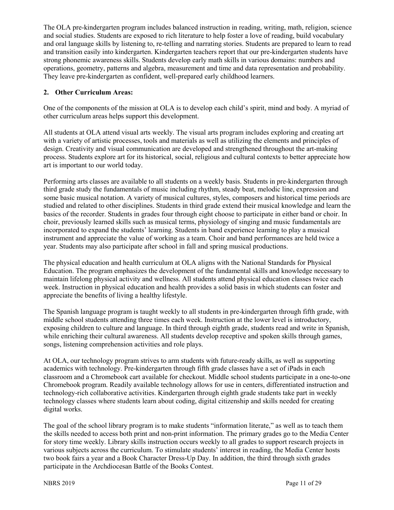The OLA pre-kindergarten program includes balanced instruction in reading, writing, math, religion, science and social studies. Students are exposed to rich literature to help foster a love of reading, build vocabulary and oral language skills by listening to, re-telling and narrating stories. Students are prepared to learn to read and transition easily into kindergarten. Kindergarten teachers report that our pre-kindergarten students have strong phonemic awareness skills. Students develop early math skills in various domains: numbers and operations, geometry, patterns and algebra, measurement and time and data representation and probability. They leave pre-kindergarten as confident, well-prepared early childhood learners.

### **2. Other Curriculum Areas:**

One of the components of the mission at OLA is to develop each child's spirit, mind and body. A myriad of other curriculum areas helps support this development.

All students at OLA attend visual arts weekly. The visual arts program includes exploring and creating art with a variety of artistic processes, tools and materials as well as utilizing the elements and principles of design. Creativity and visual communication are developed and strengthened throughout the art-making process. Students explore art for its historical, social, religious and cultural contexts to better appreciate how art is important to our world today.

Performing arts classes are available to all students on a weekly basis. Students in pre-kindergarten through third grade study the fundamentals of music including rhythm, steady beat, melodic line, expression and some basic musical notation. A variety of musical cultures, styles, composers and historical time periods are studied and related to other disciplines. Students in third grade extend their musical knowledge and learn the basics of the recorder. Students in grades four through eight choose to participate in either band or choir. In choir, previously learned skills such as musical terms, physiology of singing and music fundamentals are incorporated to expand the students' learning. Students in band experience learning to play a musical instrument and appreciate the value of working as a team. Choir and band performances are held twice a year. Students may also participate after school in fall and spring musical productions.

The physical education and health curriculum at OLA aligns with the National Standards for Physical Education. The program emphasizes the development of the fundamental skills and knowledge necessary to maintain lifelong physical activity and wellness. All students attend physical education classes twice each week. Instruction in physical education and health provides a solid basis in which students can foster and appreciate the benefits of living a healthy lifestyle.

The Spanish language program is taught weekly to all students in pre-kindergarten through fifth grade, with middle school students attending three times each week. Instruction at the lower level is introductory, exposing children to culture and language. In third through eighth grade, students read and write in Spanish, while enriching their cultural awareness. All students develop receptive and spoken skills through games, songs, listening comprehension activities and role plays.

At OLA, our technology program strives to arm students with future-ready skills, as well as supporting academics with technology. Pre-kindergarten through fifth grade classes have a set of iPads in each classroom and a Chromebook cart available for checkout. Middle school students participate in a one-to-one Chromebook program. Readily available technology allows for use in centers, differentiated instruction and technology-rich collaborative activities. Kindergarten through eighth grade students take part in weekly technology classes where students learn about coding, digital citizenship and skills needed for creating digital works.

The goal of the school library program is to make students "information literate," as well as to teach them the skills needed to access both print and non-print information. The primary grades go to the Media Center for story time weekly. Library skills instruction occurs weekly to all grades to support research projects in various subjects across the curriculum. To stimulate students' interest in reading, the Media Center hosts two book fairs a year and a Book Character Dress-Up Day. In addition, the third through sixth grades participate in the Archdiocesan Battle of the Books Contest.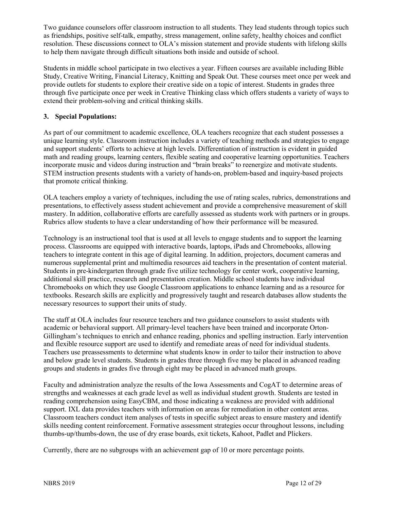Two guidance counselors offer classroom instruction to all students. They lead students through topics such as friendships, positive self-talk, empathy, stress management, online safety, healthy choices and conflict resolution. These discussions connect to OLA's mission statement and provide students with lifelong skills to help them navigate through difficult situations both inside and outside of school.

Students in middle school participate in two electives a year. Fifteen courses are available including Bible Study, Creative Writing, Financial Literacy, Knitting and Speak Out. These courses meet once per week and provide outlets for students to explore their creative side on a topic of interest. Students in grades three through five participate once per week in Creative Thinking class which offers students a variety of ways to extend their problem-solving and critical thinking skills.

### **3. Special Populations:**

As part of our commitment to academic excellence, OLA teachers recognize that each student possesses a unique learning style. Classroom instruction includes a variety of teaching methods and strategies to engage and support students' efforts to achieve at high levels. Differentiation of instruction is evident in guided math and reading groups, learning centers, flexible seating and cooperative learning opportunities. Teachers incorporate music and videos during instruction and "brain breaks" to reenergize and motivate students. STEM instruction presents students with a variety of hands-on, problem-based and inquiry-based projects that promote critical thinking.

OLA teachers employ a variety of techniques, including the use of rating scales, rubrics, demonstrations and presentations, to effectively assess student achievement and provide a comprehensive measurement of skill mastery. In addition, collaborative efforts are carefully assessed as students work with partners or in groups. Rubrics allow students to have a clear understanding of how their performance will be measured.

Technology is an instructional tool that is used at all levels to engage students and to support the learning process. Classrooms are equipped with interactive boards, laptops, iPads and Chromebooks, allowing teachers to integrate content in this age of digital learning. In addition, projectors, document cameras and numerous supplemental print and multimedia resources aid teachers in the presentation of content material. Students in pre-kindergarten through grade five utilize technology for center work, cooperative learning, additional skill practice, research and presentation creation. Middle school students have individual Chromebooks on which they use Google Classroom applications to enhance learning and as a resource for textbooks. Research skills are explicitly and progressively taught and research databases allow students the necessary resources to support their units of study.

The staff at OLA includes four resource teachers and two guidance counselors to assist students with academic or behavioral support. All primary-level teachers have been trained and incorporate Orton-Gillingham's techniques to enrich and enhance reading, phonics and spelling instruction. Early intervention and flexible resource support are used to identify and remediate areas of need for individual students. Teachers use preassessments to determine what students know in order to tailor their instruction to above and below grade level students. Students in grades three through five may be placed in advanced reading groups and students in grades five through eight may be placed in advanced math groups.

Faculty and administration analyze the results of the Iowa Assessments and CogAT to determine areas of strengths and weaknesses at each grade level as well as individual student growth. Students are tested in reading comprehension using EasyCBM, and those indicating a weakness are provided with additional support. IXL data provides teachers with information on areas for remediation in other content areas. Classroom teachers conduct item analyses of tests in specific subject areas to ensure mastery and identify skills needing content reinforcement. Formative assessment strategies occur throughout lessons, including thumbs-up/thumbs-down, the use of dry erase boards, exit tickets, Kahoot, Padlet and Plickers.

Currently, there are no subgroups with an achievement gap of 10 or more percentage points.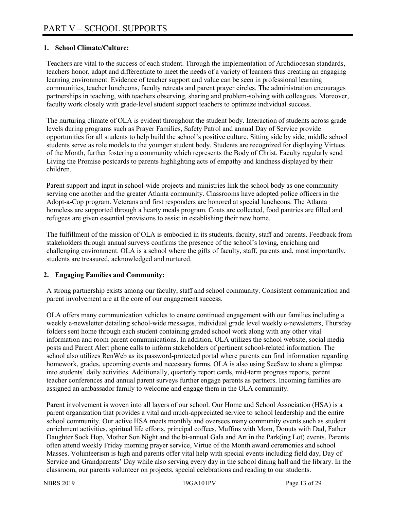### **1. School Climate/Culture:**

Teachers are vital to the success of each student. Through the implementation of Archdiocesan standards, teachers honor, adapt and differentiate to meet the needs of a variety of learners thus creating an engaging learning environment. Evidence of teacher support and value can be seen in professional learning communities, teacher luncheons, faculty retreats and parent prayer circles. The administration encourages partnerships in teaching, with teachers observing, sharing and problem-solving with colleagues. Moreover, faculty work closely with grade-level student support teachers to optimize individual success.

The nurturing climate of OLA is evident throughout the student body. Interaction of students across grade levels during programs such as Prayer Families, Safety Patrol and annual Day of Service provide opportunities for all students to help build the school's positive culture. Sitting side by side, middle school students serve as role models to the younger student body. Students are recognized for displaying Virtues of the Month, further fostering a community which represents the Body of Christ. Faculty regularly send Living the Promise postcards to parents highlighting acts of empathy and kindness displayed by their children.

Parent support and input in school-wide projects and ministries link the school body as one community serving one another and the greater Atlanta community. Classrooms have adopted police officers in the Adopt-a-Cop program. Veterans and first responders are honored at special luncheons. The Atlanta homeless are supported through a hearty meals program. Coats are collected, food pantries are filled and refugees are given essential provisions to assist in establishing their new home.

The fulfillment of the mission of OLA is embodied in its students, faculty, staff and parents. Feedback from stakeholders through annual surveys confirms the presence of the school's loving, enriching and challenging environment. OLA is a school where the gifts of faculty, staff, parents and, most importantly, students are treasured, acknowledged and nurtured.

### **2. Engaging Families and Community:**

A strong partnership exists among our faculty, staff and school community. Consistent communication and parent involvement are at the core of our engagement success.

OLA offers many communication vehicles to ensure continued engagement with our families including a weekly e-newsletter detailing school-wide messages, individual grade level weekly e-newsletters, Thursday folders sent home through each student containing graded school work along with any other vital information and room parent communications. In addition, OLA utilizes the school website, social media posts and Parent Alert phone calls to inform stakeholders of pertinent school-related information. The school also utilizes RenWeb as its password-protected portal where parents can find information regarding homework, grades, upcoming events and necessary forms. OLA is also using SeeSaw to share a glimpse into students' daily activities. Additionally, quarterly report cards, mid-term progress reports, parent teacher conferences and annual parent surveys further engage parents as partners. Incoming families are assigned an ambassador family to welcome and engage them in the OLA community.

Parent involvement is woven into all layers of our school. Our Home and School Association (HSA) is a parent organization that provides a vital and much-appreciated service to school leadership and the entire school community. Our active HSA meets monthly and oversees many community events such as student enrichment activities, spiritual life efforts, principal coffees, Muffins with Mom, Donuts with Dad, Father Daughter Sock Hop, Mother Son Night and the bi-annual Gala and Art in the Park(ing Lot) events. Parents often attend weekly Friday morning prayer service, Virtue of the Month award ceremonies and school Masses. Volunteerism is high and parents offer vital help with special events including field day, Day of Service and Grandparents' Day while also serving every day in the school dining hall and the library. In the classroom, our parents volunteer on projects, special celebrations and reading to our students.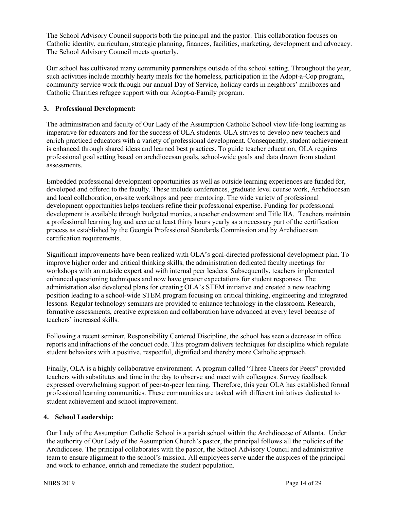The School Advisory Council supports both the principal and the pastor. This collaboration focuses on Catholic identity, curriculum, strategic planning, finances, facilities, marketing, development and advocacy. The School Advisory Council meets quarterly.

Our school has cultivated many community partnerships outside of the school setting. Throughout the year, such activities include monthly hearty meals for the homeless, participation in the Adopt-a-Cop program, community service work through our annual Day of Service, holiday cards in neighbors' mailboxes and Catholic Charities refugee support with our Adopt-a-Family program.

### **3. Professional Development:**

The administration and faculty of Our Lady of the Assumption Catholic School view life-long learning as imperative for educators and for the success of OLA students. OLA strives to develop new teachers and enrich practiced educators with a variety of professional development. Consequently, student achievement is enhanced through shared ideas and learned best practices. To guide teacher education, OLA requires professional goal setting based on archdiocesan goals, school-wide goals and data drawn from student assessments.

Embedded professional development opportunities as well as outside learning experiences are funded for, developed and offered to the faculty. These include conferences, graduate level course work, Archdiocesan and local collaboration, on-site workshops and peer mentoring. The wide variety of professional development opportunities helps teachers refine their professional expertise. Funding for professional development is available through budgeted monies, a teacher endowment and Title IIA. Teachers maintain a professional learning log and accrue at least thirty hours yearly as a necessary part of the certification process as established by the Georgia Professional Standards Commission and by Archdiocesan certification requirements.

Significant improvements have been realized with OLA's goal-directed professional development plan. To improve higher order and critical thinking skills, the administration dedicated faculty meetings for workshops with an outside expert and with internal peer leaders. Subsequently, teachers implemented enhanced questioning techniques and now have greater expectations for student responses. The administration also developed plans for creating OLA's STEM initiative and created a new teaching position leading to a school-wide STEM program focusing on critical thinking, engineering and integrated lessons. Regular technology seminars are provided to enhance technology in the classroom. Research, formative assessments, creative expression and collaboration have advanced at every level because of teachers' increased skills.

Following a recent seminar, Responsibility Centered Discipline, the school has seen a decrease in office reports and infractions of the conduct code. This program delivers techniques for discipline which regulate student behaviors with a positive, respectful, dignified and thereby more Catholic approach.

Finally, OLA is a highly collaborative environment. A program called "Three Cheers for Peers" provided teachers with substitutes and time in the day to observe and meet with colleagues. Survey feedback expressed overwhelming support of peer-to-peer learning. Therefore, this year OLA has established formal professional learning communities. These communities are tasked with different initiatives dedicated to student achievement and school improvement.

### **4. School Leadership:**

Our Lady of the Assumption Catholic School is a parish school within the Archdiocese of Atlanta. Under the authority of Our Lady of the Assumption Church's pastor, the principal follows all the policies of the Archdiocese. The principal collaborates with the pastor, the School Advisory Council and administrative team to ensure alignment to the school's mission. All employees serve under the auspices of the principal and work to enhance, enrich and remediate the student population.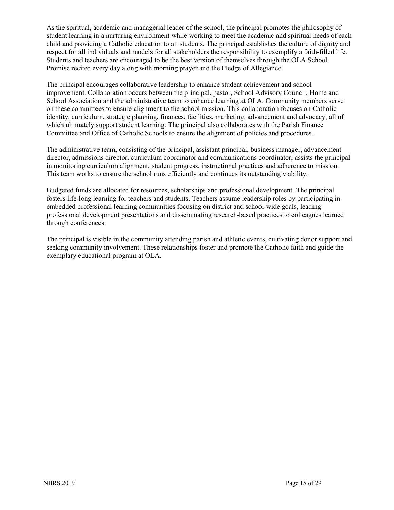As the spiritual, academic and managerial leader of the school, the principal promotes the philosophy of student learning in a nurturing environment while working to meet the academic and spiritual needs of each child and providing a Catholic education to all students. The principal establishes the culture of dignity and respect for all individuals and models for all stakeholders the responsibility to exemplify a faith-filled life. Students and teachers are encouraged to be the best version of themselves through the OLA School Promise recited every day along with morning prayer and the Pledge of Allegiance.

The principal encourages collaborative leadership to enhance student achievement and school improvement. Collaboration occurs between the principal, pastor, School Advisory Council, Home and School Association and the administrative team to enhance learning at OLA. Community members serve on these committees to ensure alignment to the school mission. This collaboration focuses on Catholic identity, curriculum, strategic planning, finances, facilities, marketing, advancement and advocacy, all of which ultimately support student learning. The principal also collaborates with the Parish Finance Committee and Office of Catholic Schools to ensure the alignment of policies and procedures.

The administrative team, consisting of the principal, assistant principal, business manager, advancement director, admissions director, curriculum coordinator and communications coordinator, assists the principal in monitoring curriculum alignment, student progress, instructional practices and adherence to mission. This team works to ensure the school runs efficiently and continues its outstanding viability.

Budgeted funds are allocated for resources, scholarships and professional development. The principal fosters life-long learning for teachers and students. Teachers assume leadership roles by participating in embedded professional learning communities focusing on district and school-wide goals, leading professional development presentations and disseminating research-based practices to colleagues learned through conferences.

The principal is visible in the community attending parish and athletic events, cultivating donor support and seeking community involvement. These relationships foster and promote the Catholic faith and guide the exemplary educational program at OLA.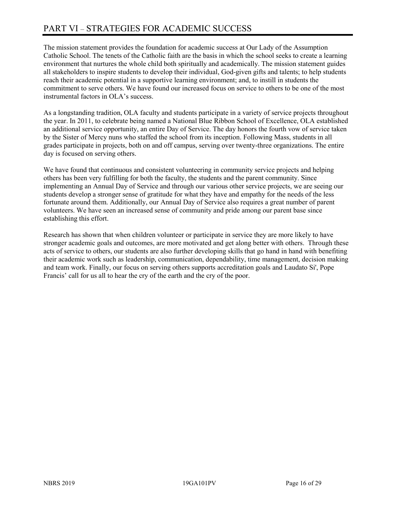The mission statement provides the foundation for academic success at Our Lady of the Assumption Catholic School. The tenets of the Catholic faith are the basis in which the school seeks to create a learning environment that nurtures the whole child both spiritually and academically. The mission statement guides all stakeholders to inspire students to develop their individual, God-given gifts and talents; to help students reach their academic potential in a supportive learning environment; and, to instill in students the commitment to serve others. We have found our increased focus on service to others to be one of the most instrumental factors in OLA's success.

As a longstanding tradition, OLA faculty and students participate in a variety of service projects throughout the year. In 2011, to celebrate being named a National Blue Ribbon School of Excellence, OLA established an additional service opportunity, an entire Day of Service. The day honors the fourth vow of service taken by the Sister of Mercy nuns who staffed the school from its inception. Following Mass, students in all grades participate in projects, both on and off campus, serving over twenty-three organizations. The entire day is focused on serving others.

We have found that continuous and consistent volunteering in community service projects and helping others has been very fulfilling for both the faculty, the students and the parent community. Since implementing an Annual Day of Service and through our various other service projects, we are seeing our students develop a stronger sense of gratitude for what they have and empathy for the needs of the less fortunate around them. Additionally, our Annual Day of Service also requires a great number of parent volunteers. We have seen an increased sense of community and pride among our parent base since establishing this effort.

Research has shown that when children volunteer or participate in service they are more likely to have stronger academic goals and outcomes, are more motivated and get along better with others. Through these acts of service to others, our students are also further developing skills that go hand in hand with benefiting their academic work such as leadership, communication, dependability, time management, decision making and team work. Finally, our focus on serving others supports accreditation goals and Laudato Si', Pope Francis' call for us all to hear the cry of the earth and the cry of the poor.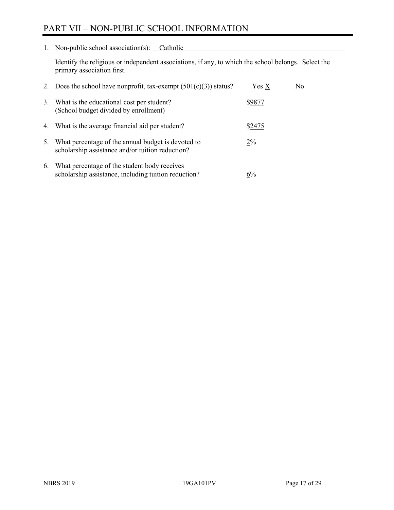# PART VII – NON-PUBLIC SCHOOL INFORMATION

1. Non-public school association(s): Catholic

Identify the religious or independent associations, if any, to which the school belongs. Select the primary association first.

|    | 2. Does the school have nonprofit, tax-exempt $(501(c)(3))$ status?                                    | $Yes\ X$ | No. |
|----|--------------------------------------------------------------------------------------------------------|----------|-----|
| 3. | What is the educational cost per student?<br>(School budget divided by enrollment)                     | \$9877   |     |
|    | 4. What is the average financial aid per student?                                                      | \$2475   |     |
|    | What percentage of the annual budget is devoted to<br>scholarship assistance and/or tuition reduction? | $2\%$    |     |
| 6. | What percentage of the student body receives<br>scholarship assistance, including tuition reduction?   | 6%       |     |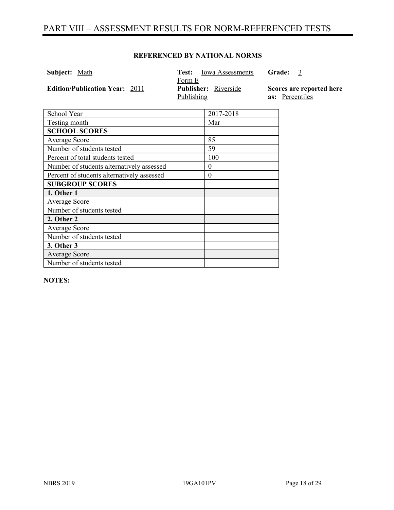# PART VIII – ASSESSMENT RESULTS FOR NORM-REFERENCED TESTS

### **REFERENCED BY NATIONAL NORMS**

| <b>Edition/Publication Year: 2011</b><br><b>Publisher:</b> Riverside<br>as: Percentiles<br>Publishing | <b>Subject:</b> Math | <b>Iowa Assessments</b><br>Test:<br>Form E | <b>Grade:</b><br>- 3     |
|-------------------------------------------------------------------------------------------------------|----------------------|--------------------------------------------|--------------------------|
|                                                                                                       |                      |                                            | Scores are reported here |

| School Year                                | 2017-2018 |
|--------------------------------------------|-----------|
| Testing month                              | Mar       |
| <b>SCHOOL SCORES</b>                       |           |
| Average Score                              | 85        |
| Number of students tested                  | 59        |
| Percent of total students tested           | 100       |
| Number of students alternatively assessed  | 0         |
| Percent of students alternatively assessed | $\theta$  |
| <b>SUBGROUP SCORES</b>                     |           |
| 1. Other 1                                 |           |
| <b>Average Score</b>                       |           |
| Number of students tested                  |           |
| 2. Other 2                                 |           |
| <b>Average Score</b>                       |           |
| Number of students tested                  |           |
| 3. Other 3                                 |           |
| <b>Average Score</b>                       |           |
| Number of students tested                  |           |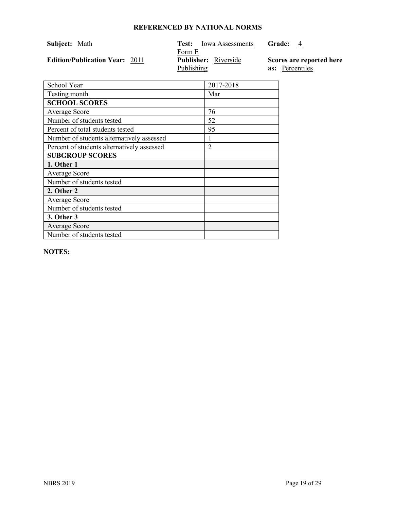| Subject: Math                         | Iowa Assessments<br>Test:   | Grade:<br>4              |
|---------------------------------------|-----------------------------|--------------------------|
|                                       | Form E                      |                          |
| <b>Edition/Publication Year: 2011</b> | <b>Publisher:</b> Riverside | Scores are reported here |
|                                       | Publishing                  | as: Percentiles          |

| School Year                                | 2017-2018      |
|--------------------------------------------|----------------|
| Testing month                              | Mar            |
| <b>SCHOOL SCORES</b>                       |                |
| <b>Average Score</b>                       | 76             |
| Number of students tested                  | 52             |
| Percent of total students tested           | 95             |
| Number of students alternatively assessed  |                |
| Percent of students alternatively assessed | $\mathfrak{D}$ |
| <b>SUBGROUP SCORES</b>                     |                |
| 1. Other 1                                 |                |
| <b>Average Score</b>                       |                |
| Number of students tested                  |                |
| 2. Other 2                                 |                |
| <b>Average Score</b>                       |                |
| Number of students tested                  |                |
| 3. Other 3                                 |                |
| <b>Average Score</b>                       |                |
| Number of students tested                  |                |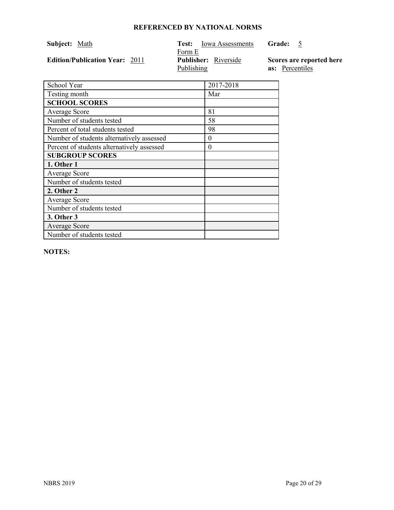| Subject: Math                         | Iowa Assessments<br>Test:   | Grade:                   |
|---------------------------------------|-----------------------------|--------------------------|
|                                       | Form E                      |                          |
| <b>Edition/Publication Year: 2011</b> | <b>Publisher:</b> Riverside | Scores are reported here |
|                                       | Publishing                  | as: Percentiles          |

| School Year                                | 2017-2018 |
|--------------------------------------------|-----------|
| Testing month                              | Mar       |
| <b>SCHOOL SCORES</b>                       |           |
| Average Score                              | 81        |
| Number of students tested                  | 58        |
| Percent of total students tested           | 98        |
| Number of students alternatively assessed  | 0         |
| Percent of students alternatively assessed | $\theta$  |
| <b>SUBGROUP SCORES</b>                     |           |
| 1. Other 1                                 |           |
| <b>Average Score</b>                       |           |
| Number of students tested                  |           |
| 2. Other 2                                 |           |
| <b>Average Score</b>                       |           |
| Number of students tested                  |           |
| 3. Other 3                                 |           |
| <b>Average Score</b>                       |           |
| Number of students tested                  |           |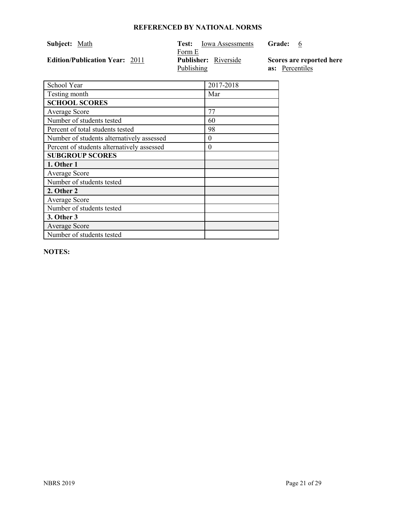| Subject: Math                         | Iowa Assessments<br>Test:   | <b>Grade:</b><br>$\mathfrak b$ |
|---------------------------------------|-----------------------------|--------------------------------|
|                                       | Form E                      |                                |
| <b>Edition/Publication Year: 2011</b> | <b>Publisher:</b> Riverside | Scores are reported here       |
|                                       | Publishing                  | as: Percentiles                |

| School Year                                | 2017-2018 |
|--------------------------------------------|-----------|
| Testing month                              | Mar       |
| <b>SCHOOL SCORES</b>                       |           |
| <b>Average Score</b>                       | 77        |
| Number of students tested                  | 60        |
| Percent of total students tested           | 98        |
| Number of students alternatively assessed  | 0         |
| Percent of students alternatively assessed | $\theta$  |
| <b>SUBGROUP SCORES</b>                     |           |
| 1. Other 1                                 |           |
| <b>Average Score</b>                       |           |
| Number of students tested                  |           |
| 2. Other 2                                 |           |
| <b>Average Score</b>                       |           |
| Number of students tested                  |           |
| 3. Other 3                                 |           |
| Average Score                              |           |
| Number of students tested                  |           |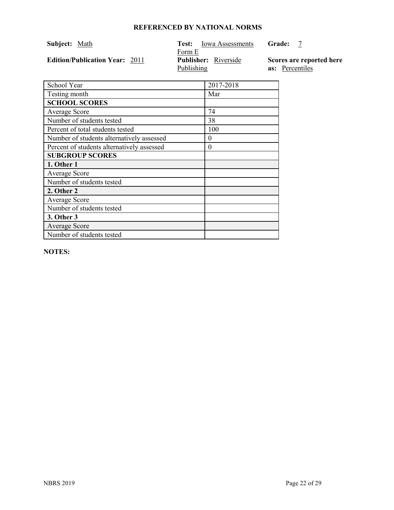| Subject: Math                         | Iowa Assessments<br>Test:   | Grade:                   |
|---------------------------------------|-----------------------------|--------------------------|
|                                       | Form E                      |                          |
| <b>Edition/Publication Year: 2011</b> | <b>Publisher:</b> Riverside | Scores are reported here |
|                                       | <b>Publishing</b>           | as: Percentiles          |

| School Year                                | 2017-2018 |
|--------------------------------------------|-----------|
| Testing month                              | Mar       |
| <b>SCHOOL SCORES</b>                       |           |
| Average Score                              | 74        |
| Number of students tested                  | 38        |
| Percent of total students tested           | 100       |
| Number of students alternatively assessed  | $\theta$  |
| Percent of students alternatively assessed | $\theta$  |
| <b>SUBGROUP SCORES</b>                     |           |
| 1. Other 1                                 |           |
| <b>Average Score</b>                       |           |
| Number of students tested                  |           |
| 2. Other 2                                 |           |
| Average Score                              |           |
| Number of students tested                  |           |
| 3. Other 3                                 |           |
| <b>Average Score</b>                       |           |
| Number of students tested                  |           |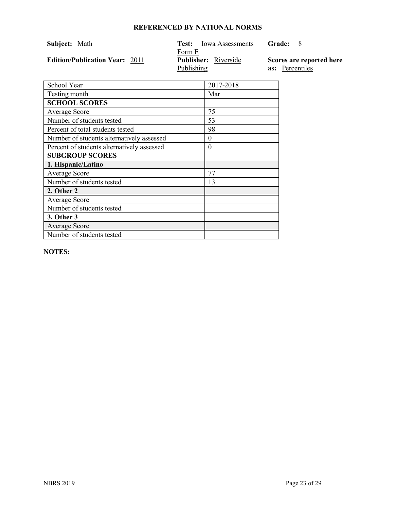| Subject: Math                         | Iowa Assessments<br>Test:   | <b>Grade:</b>            |
|---------------------------------------|-----------------------------|--------------------------|
|                                       | Form E                      |                          |
| <b>Edition/Publication Year: 2011</b> | <b>Publisher:</b> Riverside | Scores are reported here |
|                                       | Publishing                  | <b>as:</b> Percentiles   |

| School Year                                | 2017-2018 |
|--------------------------------------------|-----------|
| Testing month                              | Mar       |
| <b>SCHOOL SCORES</b>                       |           |
| Average Score                              | 75        |
| Number of students tested                  | 53        |
| Percent of total students tested           | 98        |
| Number of students alternatively assessed  | $\theta$  |
| Percent of students alternatively assessed | $\theta$  |
| <b>SUBGROUP SCORES</b>                     |           |
| 1. Hispanic/Latino                         |           |
| Average Score                              | 77        |
| Number of students tested                  | 13        |
| 2. Other 2                                 |           |
| Average Score                              |           |
| Number of students tested                  |           |
| 3. Other 3                                 |           |
| Average Score                              |           |
| Number of students tested                  |           |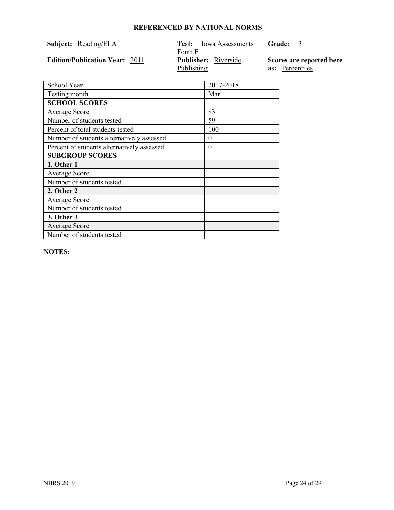| Subject: Reading/ELA                  | Iowa Assessments<br>Test:   | <b>Grade:</b><br>$\mathfrak{Z}$ |
|---------------------------------------|-----------------------------|---------------------------------|
|                                       | Form E                      |                                 |
| <b>Edition/Publication Year: 2011</b> | <b>Publisher:</b> Riverside | Scores are reported here        |
|                                       | Publishing                  | <b>as:</b> Percentiles          |

| School Year                                | 2017-2018 |
|--------------------------------------------|-----------|
| Testing month                              | Mar       |
| <b>SCHOOL SCORES</b>                       |           |
| Average Score                              | 83        |
| Number of students tested                  | 59        |
| Percent of total students tested           | 100       |
| Number of students alternatively assessed  | $\Omega$  |
| Percent of students alternatively assessed | $\Omega$  |
| <b>SUBGROUP SCORES</b>                     |           |
| 1. Other 1                                 |           |
| <b>Average Score</b>                       |           |
| Number of students tested                  |           |
| 2. Other 2                                 |           |
| Average Score                              |           |
| Number of students tested                  |           |
| 3. Other 3                                 |           |
| <b>Average Score</b>                       |           |
| Number of students tested                  |           |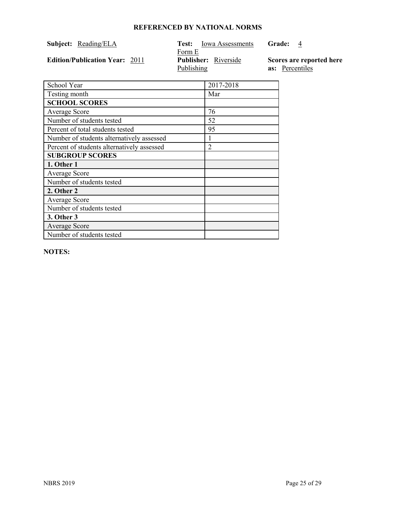| <b>Subject:</b> Reading/ELA           | <b>Iowa Assessments</b><br>Test: . | Grade:<br>4              |
|---------------------------------------|------------------------------------|--------------------------|
|                                       | Form E                             |                          |
| <b>Edition/Publication Year: 2011</b> | <b>Publisher:</b> Riverside        | Scores are reported here |
|                                       | Publishing                         | <b>as:</b> Percentiles   |

| School Year                                | 2017-2018 |
|--------------------------------------------|-----------|
| Testing month                              | Mar       |
| <b>SCHOOL SCORES</b>                       |           |
| Average Score                              | 76        |
| Number of students tested                  | 52        |
| Percent of total students tested           | 95        |
| Number of students alternatively assessed  |           |
| Percent of students alternatively assessed | 2         |
| <b>SUBGROUP SCORES</b>                     |           |
| 1. Other 1                                 |           |
| <b>Average Score</b>                       |           |
| Number of students tested                  |           |
| 2. Other 2                                 |           |
| <b>Average Score</b>                       |           |
| Number of students tested                  |           |
| 3. Other 3                                 |           |
| <b>Average Score</b>                       |           |
| Number of students tested                  |           |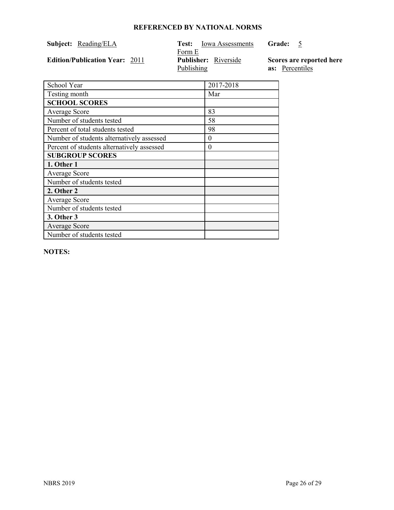| Subject: Reading/ELA                  | Iowa Assessments<br>Test:   | Grade:                   |
|---------------------------------------|-----------------------------|--------------------------|
|                                       | Form E                      |                          |
| <b>Edition/Publication Year: 2011</b> | <b>Publisher:</b> Riverside | Scores are reported here |
|                                       | Publishing                  | as: Percentiles          |

| School Year                                | 2017-2018 |
|--------------------------------------------|-----------|
| Testing month                              | Mar       |
| <b>SCHOOL SCORES</b>                       |           |
| <b>Average Score</b>                       | 83        |
| Number of students tested                  | 58        |
| Percent of total students tested           | 98        |
| Number of students alternatively assessed  | $\theta$  |
| Percent of students alternatively assessed | $\Omega$  |
| <b>SUBGROUP SCORES</b>                     |           |
| 1. Other 1                                 |           |
| <b>Average Score</b>                       |           |
| Number of students tested                  |           |
| 2. Other 2                                 |           |
| <b>Average Score</b>                       |           |
| Number of students tested                  |           |
| 3. Other 3                                 |           |
| <b>Average Score</b>                       |           |
| Number of students tested                  |           |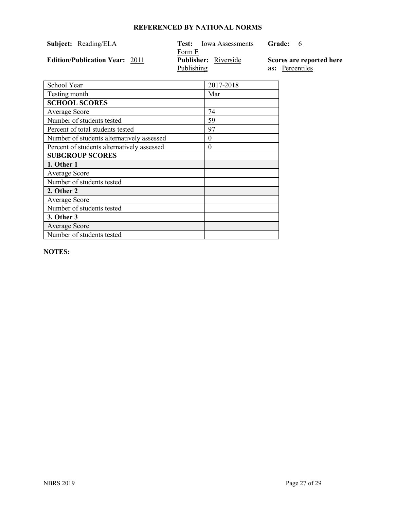| Subject: Reading/ELA                  | <b>Iowa Assessments</b><br>Test: - | <b>Grade:</b><br>$\mathbf b$ |
|---------------------------------------|------------------------------------|------------------------------|
|                                       | Form E                             |                              |
| <b>Edition/Publication Year: 2011</b> | <b>Publisher:</b> Riverside        | Scores are reported here     |
|                                       | Publishing                         | <b>as:</b> Percentiles       |

| School Year                                | 2017-2018 |
|--------------------------------------------|-----------|
| Testing month                              | Mar       |
| <b>SCHOOL SCORES</b>                       |           |
| Average Score                              | 74        |
| Number of students tested                  | 59        |
| Percent of total students tested           | 97        |
| Number of students alternatively assessed  | 0         |
| Percent of students alternatively assessed | $\theta$  |
| <b>SUBGROUP SCORES</b>                     |           |
| 1. Other 1                                 |           |
| <b>Average Score</b>                       |           |
| Number of students tested                  |           |
| 2. Other 2                                 |           |
| <b>Average Score</b>                       |           |
| Number of students tested                  |           |
| 3. Other 3                                 |           |
| <b>Average Score</b>                       |           |
| Number of students tested                  |           |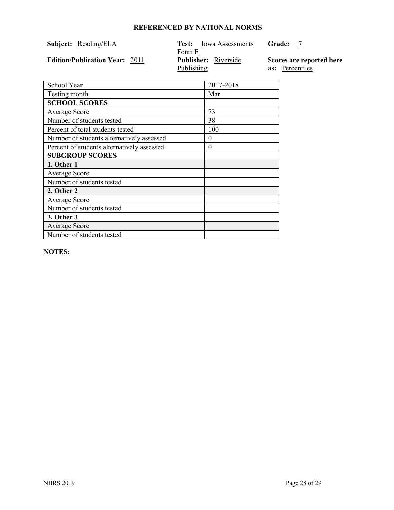| Subject: Reading/ELA                  | Test:                | Iowa Assessments            | Grade: |                                                    |
|---------------------------------------|----------------------|-----------------------------|--------|----------------------------------------------------|
| <b>Edition/Publication Year: 2011</b> | Form E<br>Publishing | <b>Publisher:</b> Riverside |        | Scores are reported here<br><b>as:</b> Percentiles |

| School Year                                | 2017-2018 |
|--------------------------------------------|-----------|
| Testing month                              | Mar       |
| <b>SCHOOL SCORES</b>                       |           |
| <b>Average Score</b>                       | 73        |
| Number of students tested                  | 38        |
| Percent of total students tested           | 100       |
| Number of students alternatively assessed  | $\Omega$  |
| Percent of students alternatively assessed | 0         |
| <b>SUBGROUP SCORES</b>                     |           |
| 1. Other 1                                 |           |
| <b>Average Score</b>                       |           |
| Number of students tested                  |           |
| 2. Other 2                                 |           |
| <b>Average Score</b>                       |           |
| Number of students tested                  |           |
| 3. Other 3                                 |           |
| <b>Average Score</b>                       |           |
| Number of students tested                  |           |